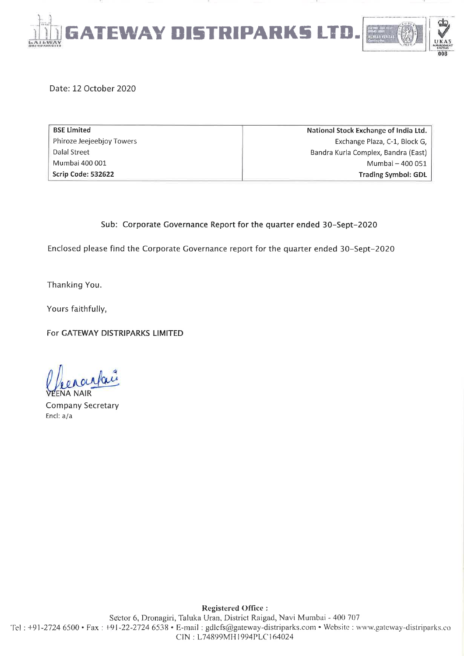

Date: 12 October 2020

| <b>BSE Limited</b>        | National Stock Exchange of India Ltd. |
|---------------------------|---------------------------------------|
| Phiroze Jeejeebjoy Towers | Exchange Plaza, C-1, Block G,         |
| Dalal Street              | Bandra Kurla Complex, Bandra (East)   |
| Mumbai 400 001            | Mumbai - 400 051                      |
| Scrip Code: 532622        | Trading Symbol: GDL                   |

## Sub: Corporate Governance Report for the quarter ended 30-Sept-2020

Enclosed please find the Corporate Governance report for the quarter ended 30-Sept-2020

Thanking You.

Yours faithfully,

For GATEWAY DISTRIPARKS LIMITED

**Company Secretary** Encl: a/a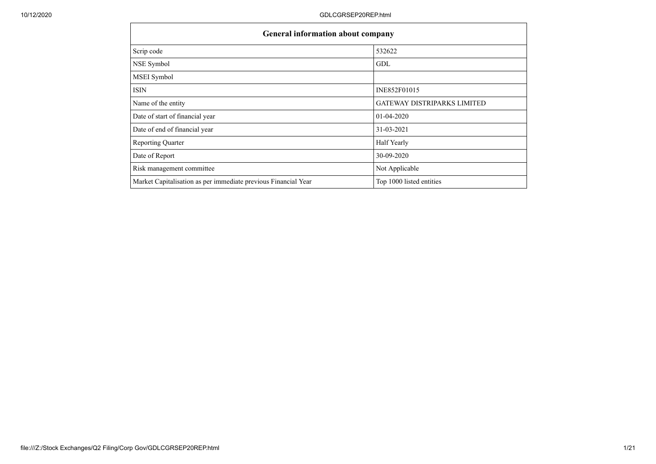| <b>General information about company</b>                       |                                    |  |  |  |  |  |  |  |
|----------------------------------------------------------------|------------------------------------|--|--|--|--|--|--|--|
| Scrip code                                                     | 532622                             |  |  |  |  |  |  |  |
| NSE Symbol                                                     | GDL                                |  |  |  |  |  |  |  |
| MSEI Symbol                                                    |                                    |  |  |  |  |  |  |  |
| <b>ISIN</b>                                                    | INE852F01015                       |  |  |  |  |  |  |  |
| Name of the entity                                             | <b>GATEWAY DISTRIPARKS LIMITED</b> |  |  |  |  |  |  |  |
| Date of start of financial year                                | 01-04-2020                         |  |  |  |  |  |  |  |
| Date of end of financial year                                  | 31-03-2021                         |  |  |  |  |  |  |  |
| <b>Reporting Quarter</b>                                       | <b>Half Yearly</b>                 |  |  |  |  |  |  |  |
| Date of Report                                                 | 30-09-2020                         |  |  |  |  |  |  |  |
| Risk management committee                                      | Not Applicable                     |  |  |  |  |  |  |  |
| Market Capitalisation as per immediate previous Financial Year | Top 1000 listed entities           |  |  |  |  |  |  |  |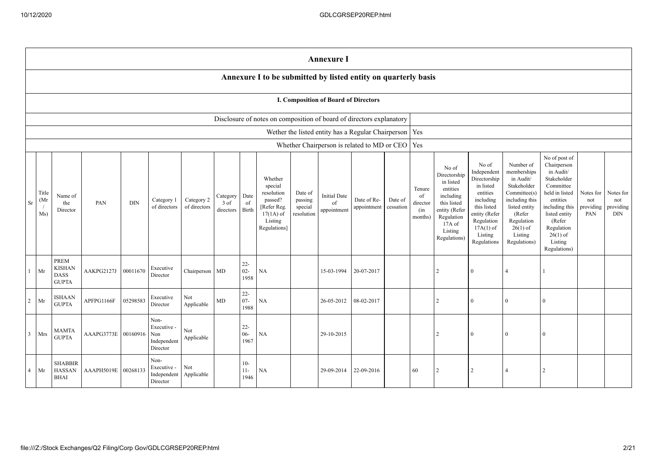|                |                                                                                                                                                                                                                                                                                                                                                                                                                                                      | <b>Annexure I</b>                              |                     |          |                                                       |                                            |                                                                                                                                                |                                                                                                                                                                   |                                                                                                                                                                          |                                                                                                                                                                                                         |                                                          |                                      |  |     |                |                |                          |                |  |  |
|----------------|------------------------------------------------------------------------------------------------------------------------------------------------------------------------------------------------------------------------------------------------------------------------------------------------------------------------------------------------------------------------------------------------------------------------------------------------------|------------------------------------------------|---------------------|----------|-------------------------------------------------------|--------------------------------------------|------------------------------------------------------------------------------------------------------------------------------------------------|-------------------------------------------------------------------------------------------------------------------------------------------------------------------|--------------------------------------------------------------------------------------------------------------------------------------------------------------------------|---------------------------------------------------------------------------------------------------------------------------------------------------------------------------------------------------------|----------------------------------------------------------|--------------------------------------|--|-----|----------------|----------------|--------------------------|----------------|--|--|
|                | Annexure I to be submitted by listed entity on quarterly basis                                                                                                                                                                                                                                                                                                                                                                                       |                                                |                     |          |                                                       |                                            |                                                                                                                                                |                                                                                                                                                                   |                                                                                                                                                                          |                                                                                                                                                                                                         |                                                          |                                      |  |     |                |                |                          |                |  |  |
|                | <b>I. Composition of Board of Directors</b>                                                                                                                                                                                                                                                                                                                                                                                                          |                                                |                     |          |                                                       |                                            |                                                                                                                                                |                                                                                                                                                                   |                                                                                                                                                                          |                                                                                                                                                                                                         |                                                          |                                      |  |     |                |                |                          |                |  |  |
|                |                                                                                                                                                                                                                                                                                                                                                                                                                                                      |                                                |                     |          |                                                       |                                            |                                                                                                                                                |                                                                                                                                                                   | Disclosure of notes on composition of board of directors explanatory                                                                                                     |                                                                                                                                                                                                         |                                                          |                                      |  |     |                |                |                          |                |  |  |
|                |                                                                                                                                                                                                                                                                                                                                                                                                                                                      |                                                |                     |          |                                                       |                                            |                                                                                                                                                |                                                                                                                                                                   |                                                                                                                                                                          |                                                                                                                                                                                                         | Wether the listed entity has a Regular Chairperson   Yes |                                      |  |     |                |                |                          |                |  |  |
|                |                                                                                                                                                                                                                                                                                                                                                                                                                                                      |                                                |                     |          |                                                       |                                            |                                                                                                                                                |                                                                                                                                                                   |                                                                                                                                                                          |                                                                                                                                                                                                         | Whether Chairperson is related to MD or CEO              |                                      |  | Yes |                |                |                          |                |  |  |
| <b>Sr</b>      | Whether<br>special<br>Title<br>resolution<br>Date of<br>Date<br><b>Initial Date</b><br>Name of<br>Category<br>(Mr)<br>Date of Re-<br>Category 2<br>passed?<br>passing<br>Date of<br>Category 1<br>PAN<br><b>DIN</b><br>of<br>the<br>3 of<br>of<br>cessation<br>of directors<br>of directors<br>appointment<br>[Refer Reg.<br>special<br>Birth<br>appointment<br>directors<br>Director<br>Ms)<br>resolution<br>$17(1A)$ of<br>Listing<br>Regulations] |                                                |                     |          |                                                       | Tenure<br>of<br>director<br>(in<br>months) | No of<br>Directorship<br>in listed<br>entities<br>including<br>this listed<br>entity (Refer<br>Regulation<br>17A of<br>Listing<br>Regulations) | No of<br>Independent<br>Directorship<br>in listed<br>entities<br>including<br>this listed<br>entity (Refer<br>Regulation<br>$17A(1)$ of<br>Listing<br>Regulations | Number of<br>memberships<br>in Audit/<br>Stakeholder<br>Committee(s)<br>including this<br>listed entity<br>(Refer<br>Regulation<br>$26(1)$ of<br>Listing<br>Regulations) | No of post of<br>Chairperson<br>in Audit/<br>Stakeholder<br>Committee<br>held in listed<br>entities<br>including this<br>listed entity<br>(Refer<br>Regulation<br>$26(1)$ of<br>Listing<br>Regulations) | Notes for<br>not<br>providing<br>PAN                     | Notes for<br>not<br>providing<br>DIN |  |     |                |                |                          |                |  |  |
| $\mathbf{1}$   | Mr                                                                                                                                                                                                                                                                                                                                                                                                                                                   | PREM<br><b>KISHAN</b><br>DASS<br><b>GUPTA</b>  | AAKPG2127J          | 00011670 | Executive<br>Director                                 | Chairperson MD                             |                                                                                                                                                | $22 -$<br>$02 -$<br>1958                                                                                                                                          | NA                                                                                                                                                                       |                                                                                                                                                                                                         | 15-03-1994                                               | 20-07-2017                           |  |     | 2              | $\theta$       | $\boldsymbol{\varDelta}$ |                |  |  |
| 2              | Mr                                                                                                                                                                                                                                                                                                                                                                                                                                                   | <b>ISHAAN</b><br><b>GUPTA</b>                  | APFPG1166F          | 05298583 | Executive<br>Director                                 | Not<br>Applicable                          | MD                                                                                                                                             | $22 -$<br>$07 -$<br>1988                                                                                                                                          | NA                                                                                                                                                                       |                                                                                                                                                                                                         | 26-05-2012                                               | 08-02-2017                           |  |     | $\mathcal{D}$  | $\Omega$       | $\overline{0}$           | $\bf{0}$       |  |  |
| $\overline{3}$ | Mrs                                                                                                                                                                                                                                                                                                                                                                                                                                                  | <b>MAMTA</b><br><b>GUPTA</b>                   | AAAPG3773E 00160916 |          | Non-<br>Executive -<br>Non<br>Independent<br>Director | Not<br>Applicable                          |                                                                                                                                                | $22 -$<br>$06 -$<br>1967                                                                                                                                          | NA                                                                                                                                                                       |                                                                                                                                                                                                         | 29-10-2015                                               |                                      |  |     | $\overline{2}$ | $\theta$       | $\theta$                 | $\overline{0}$ |  |  |
| $\overline{4}$ | Mr                                                                                                                                                                                                                                                                                                                                                                                                                                                   | <b>SHABBIR</b><br><b>HASSAN</b><br><b>BHAI</b> | AAAPH5019E 00268133 |          | Non-<br>Executive -<br>Independent<br>Director        | Not<br>Applicable                          |                                                                                                                                                | $10-$<br>$11-$<br>1946                                                                                                                                            | NA                                                                                                                                                                       |                                                                                                                                                                                                         | 29-09-2014                                               | 22-09-2016                           |  | 60  | $\mathcal{L}$  | $\mathfrak{D}$ | $\overline{4}$           | $\overline{2}$ |  |  |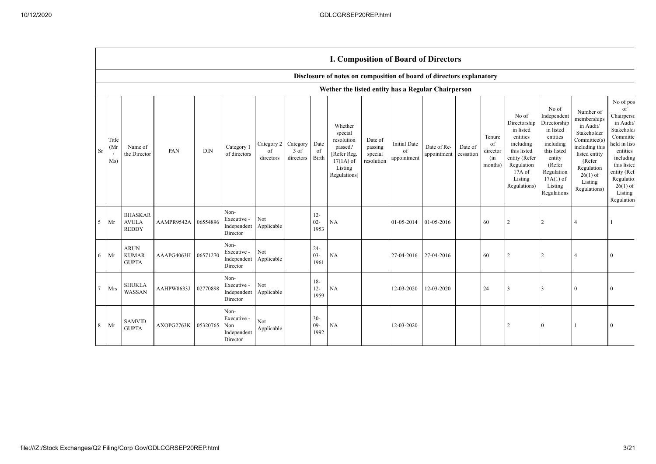**Disclosure of notes on composition of board of directors explanatory**

|                |                      |                                                |                     |            |                                                       |                                             |                     |                          | Wether the listed entity has a Regular Chairperson                                                   |                                             |                                          |                            |                      |                                            |                                                                                                                                                |                                                                                                                                                                      |                                                                                                                                                                          |                                                                                                                                                                                                |
|----------------|----------------------|------------------------------------------------|---------------------|------------|-------------------------------------------------------|---------------------------------------------|---------------------|--------------------------|------------------------------------------------------------------------------------------------------|---------------------------------------------|------------------------------------------|----------------------------|----------------------|--------------------------------------------|------------------------------------------------------------------------------------------------------------------------------------------------|----------------------------------------------------------------------------------------------------------------------------------------------------------------------|--------------------------------------------------------------------------------------------------------------------------------------------------------------------------|------------------------------------------------------------------------------------------------------------------------------------------------------------------------------------------------|
| Sr             | Title<br>(Mr)<br>Ms) | Name of<br>the Director                        | PAN                 | <b>DIN</b> | Category 1<br>of directors                            | Category 2 Category Date<br>of<br>directors | $3$ of<br>directors | of<br>Birth              | Whether<br>special<br>resolution<br>passed?<br>[Refer Reg.<br>$17(1A)$ of<br>Listing<br>Regulations] | Date of<br>passing<br>special<br>resolution | <b>Initial Date</b><br>of<br>appointment | Date of Re-<br>appointment | Date of<br>cessation | Tenure<br>of<br>director<br>(in<br>months) | No of<br>Directorship<br>in listed<br>entities<br>including<br>this listed<br>entity (Refer<br>Regulation<br>17A of<br>Listing<br>Regulations) | No of<br>Independent<br>Directorship<br>in listed<br>entities<br>including<br>this listed<br>entity<br>(Refer<br>Regulation<br>$17A(1)$ of<br>Listing<br>Regulations | Number of<br>memberships<br>in Audit/<br>Stakeholder<br>Committee(s)<br>including this<br>listed entity<br>(Refer<br>Regulation<br>$26(1)$ of<br>Listing<br>Regulations) | No of pos<br>of<br>Chairperso<br>in Audit/<br>Stakehold<br>Committe<br>held in list<br>entities<br>including<br>this listed<br>entity (Ref<br>Regulatio<br>$26(1)$ of<br>Listing<br>Regulation |
| 5 <sup>5</sup> | Mr                   | <b>BHASKAR</b><br><b>AVULA</b><br><b>REDDY</b> | AAMPR9542A          | 06554896   | Non-<br>Executive -<br>Independent<br>Director        | Not<br>Applicable                           |                     | $12 -$<br>$02 -$<br>1953 | NA                                                                                                   |                                             | 01-05-2014                               | 01-05-2016                 |                      | 60                                         |                                                                                                                                                | $\overline{c}$                                                                                                                                                       | $\overline{4}$                                                                                                                                                           |                                                                                                                                                                                                |
| 6              | Mr                   | <b>ARUN</b><br><b>KUMAR</b><br><b>GUPTA</b>    | AAAPG4063H 06571270 |            | Non-<br>Executive -<br>Independent<br>Director        | Not<br>Applicable                           |                     | $24 -$<br>$03 -$<br>1961 | NA                                                                                                   |                                             | 27-04-2016                               | 27-04-2016                 |                      | 60                                         | $\overline{2}$                                                                                                                                 | $\overline{c}$                                                                                                                                                       | $\overline{4}$                                                                                                                                                           |                                                                                                                                                                                                |
| $\overline{7}$ | Mrs                  | <b>SHUKLA</b><br>WASSAN                        | AAHPW8633J          | 02770898   | Non-<br>Executive -<br>Independent<br>Director        | Not<br>Applicable                           |                     | $18-$<br>$12 -$<br>1959  | NA                                                                                                   |                                             | 12-03-2020                               | 12-03-2020                 |                      | 24                                         | 3                                                                                                                                              | 3                                                                                                                                                                    | $\Omega$                                                                                                                                                                 | $\Omega$                                                                                                                                                                                       |
| 8              | Mr                   | <b>SAMVID</b><br><b>GUPTA</b>                  | AXOPG2763K          | 05320765   | Non-<br>Executive -<br>Non<br>Independent<br>Director | Not<br>Applicable                           |                     | $30 -$<br>$09-$<br>1992  | NA                                                                                                   |                                             | 12-03-2020                               |                            |                      |                                            |                                                                                                                                                | $\mathbf{0}$                                                                                                                                                         |                                                                                                                                                                          |                                                                                                                                                                                                |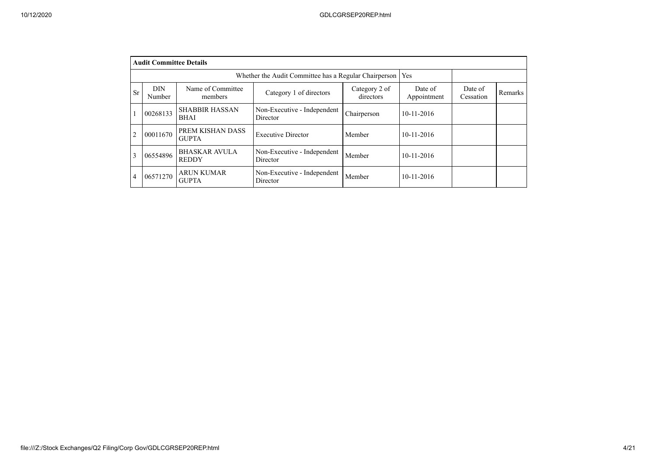|                | <b>Audit Committee Details</b> |                                      |                                         |             |                  |  |  |  |  |  |  |
|----------------|--------------------------------|--------------------------------------|-----------------------------------------|-------------|------------------|--|--|--|--|--|--|
|                |                                |                                      |                                         |             |                  |  |  |  |  |  |  |
| <b>Sr</b>      | <b>DIN</b><br>Number           | Date of<br>Cessation                 | Remarks                                 |             |                  |  |  |  |  |  |  |
|                | 00268133                       | <b>SHABBIR HASSAN</b><br><b>BHAI</b> | Non-Executive - Independent<br>Director | Chairperson | $10-11-2016$     |  |  |  |  |  |  |
| $\overline{2}$ | 00011670                       | PREM KISHAN DASS<br><b>GUPTA</b>     | <b>Executive Director</b>               | Member      | 10-11-2016       |  |  |  |  |  |  |
| 3              | 06554896                       | $10-11-2016$                         |                                         |             |                  |  |  |  |  |  |  |
| 4              | 06571270                       | <b>ARUN KUMAR</b><br><b>GUPTA</b>    | Non-Executive - Independent<br>Director | Member      | $10 - 11 - 2016$ |  |  |  |  |  |  |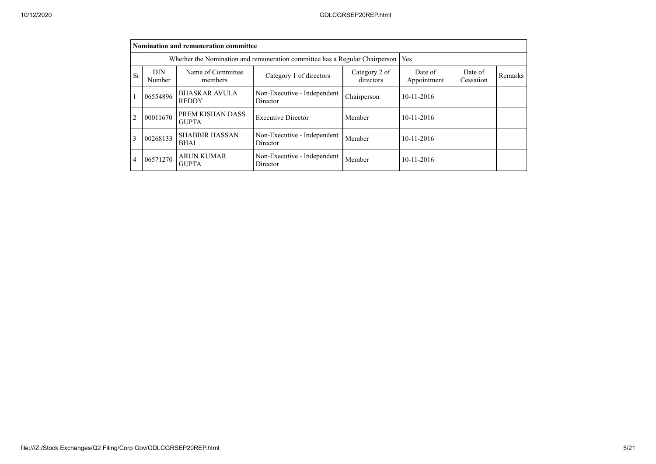|                | <b>Nomination and remuneration committee</b>                                       |                                      |                                         |             |              |  |  |  |  |  |  |
|----------------|------------------------------------------------------------------------------------|--------------------------------------|-----------------------------------------|-------------|--------------|--|--|--|--|--|--|
|                | Whether the Nomination and remuneration committee has a Regular Chairperson<br>Yes |                                      |                                         |             |              |  |  |  |  |  |  |
| Sr             | <b>DIN</b><br>Number                                                               | Date of<br>Cessation                 | Remarks                                 |             |              |  |  |  |  |  |  |
|                | 06554896                                                                           | <b>BHASKAR AVULA</b><br><b>REDDY</b> | Non-Executive - Independent<br>Director | Chairperson | 10-11-2016   |  |  |  |  |  |  |
| $\overline{2}$ | 00011670                                                                           | PREM KISHAN DASS<br><b>GUPTA</b>     | <b>Executive Director</b>               | Member      | $10-11-2016$ |  |  |  |  |  |  |
| 3              | 00268133                                                                           | $10 - 11 - 2016$                     |                                         |             |              |  |  |  |  |  |  |
| 4              | 06571270                                                                           | <b>ARUN KUMAR</b><br><b>GUPTA</b>    | Non-Executive - Independent<br>Director | Member      | $10-11-2016$ |  |  |  |  |  |  |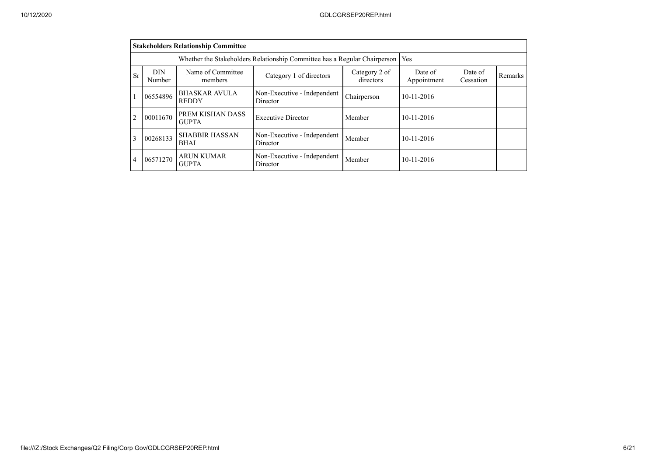|                | <b>Stakeholders Relationship Committee</b>                                                                                |                                      |                                         |             |            |  |  |  |  |  |  |
|----------------|---------------------------------------------------------------------------------------------------------------------------|--------------------------------------|-----------------------------------------|-------------|------------|--|--|--|--|--|--|
|                | Whether the Stakeholders Relationship Committee has a Regular Chairperson<br>Yes                                          |                                      |                                         |             |            |  |  |  |  |  |  |
| Sr             | <b>DIN</b><br>Number                                                                                                      | Date of<br>Cessation                 | Remarks                                 |             |            |  |  |  |  |  |  |
|                | 06554896                                                                                                                  | <b>BHASKAR AVULA</b><br><b>REDDY</b> | Non-Executive - Independent<br>Director | Chairperson | 10-11-2016 |  |  |  |  |  |  |
| $\overline{2}$ | 00011670                                                                                                                  | PREM KISHAN DASS<br><b>GUPTA</b>     | <b>Executive Director</b>               | Member      | 10-11-2016 |  |  |  |  |  |  |
| 3              | <b>SHABBIR HASSAN</b><br>Non-Executive - Independent<br>00268133<br>Member<br>$10 - 11 - 2016$<br>Director<br><b>BHAI</b> |                                      |                                         |             |            |  |  |  |  |  |  |
| $\overline{4}$ | 06571270                                                                                                                  | <b>ARUN KUMAR</b><br><b>GUPTA</b>    | Non-Executive - Independent<br>Director | Member      | 10-11-2016 |  |  |  |  |  |  |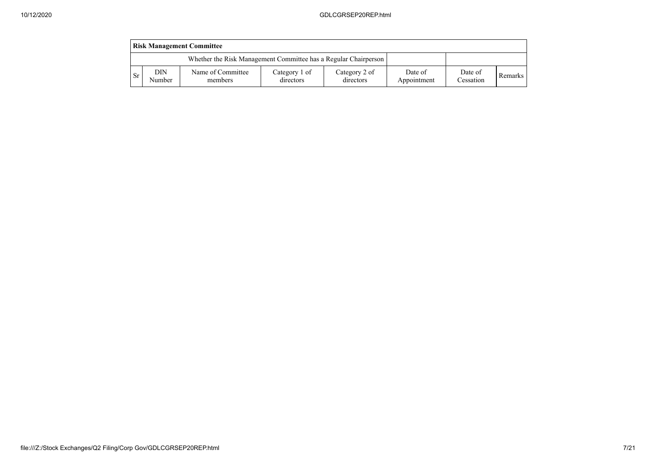|               | <b>Risk Management Committee</b> |                                                                 |                            |                            |                        |                      |         |  |  |  |  |
|---------------|----------------------------------|-----------------------------------------------------------------|----------------------------|----------------------------|------------------------|----------------------|---------|--|--|--|--|
|               |                                  | Whether the Risk Management Committee has a Regular Chairperson |                            |                            |                        |                      |         |  |  |  |  |
| <sub>Sr</sub> | DIN<br>Number                    | Name of Committee<br>members                                    | Category 1 of<br>directors | Category 2 of<br>directors | Date of<br>Appointment | Date of<br>Cessation | Remarks |  |  |  |  |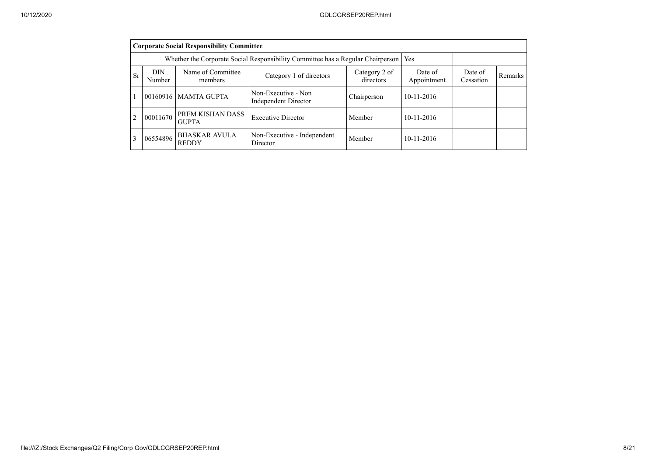|                                                                                                                                                                                  | <b>Corporate Social Responsibility Committee</b>                                              |                                      |                                             |             |              |  |  |  |  |  |  |  |
|----------------------------------------------------------------------------------------------------------------------------------------------------------------------------------|-----------------------------------------------------------------------------------------------|--------------------------------------|---------------------------------------------|-------------|--------------|--|--|--|--|--|--|--|
|                                                                                                                                                                                  | Whether the Corporate Social Responsibility Committee has a Regular Chairperson<br><b>Yes</b> |                                      |                                             |             |              |  |  |  |  |  |  |  |
| Name of Committee<br><b>DIN</b><br>Category 2 of<br>Date of<br>Date of<br>Sr<br>Category 1 of directors<br>Remarks<br>directors<br>Appointment<br>Cessation<br>Number<br>members |                                                                                               |                                      |                                             |             |              |  |  |  |  |  |  |  |
|                                                                                                                                                                                  |                                                                                               | 00160916   MAMTA GUPTA               | Non-Executive - Non<br>Independent Director | Chairperson | $10-11-2016$ |  |  |  |  |  |  |  |
| $\overline{2}$                                                                                                                                                                   | 00011670                                                                                      | PREM KISHAN DASS<br><b>GUPTA</b>     | <b>Executive Director</b>                   | Member      | $10-11-2016$ |  |  |  |  |  |  |  |
| 3                                                                                                                                                                                | 06554896                                                                                      | <b>BHASKAR AVULA</b><br><b>REDDY</b> | Non-Executive - Independent<br>Director     | Member      | $10-11-2016$ |  |  |  |  |  |  |  |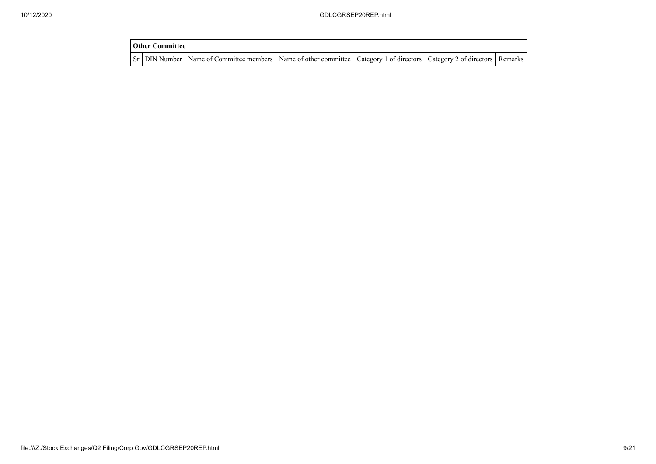| <b>Other Committee</b> |                                                                                                                                     |  |  |
|------------------------|-------------------------------------------------------------------------------------------------------------------------------------|--|--|
|                        | Sr   DIN Number   Name of Committee members   Name of other committee   Category 1 of directors   Category 2 of directors   Remarks |  |  |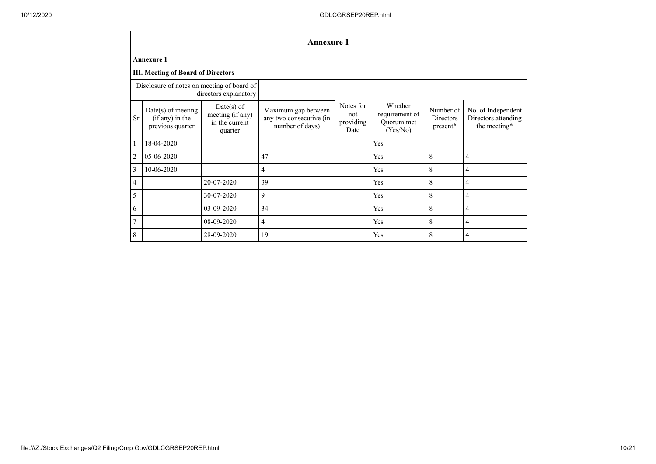|                | <b>Annexure 1</b>                                                   |                                                               |                                                                   |                                       |                                                     |                                    |                                                           |  |  |  |  |  |
|----------------|---------------------------------------------------------------------|---------------------------------------------------------------|-------------------------------------------------------------------|---------------------------------------|-----------------------------------------------------|------------------------------------|-----------------------------------------------------------|--|--|--|--|--|
|                | <b>Annexure 1</b>                                                   |                                                               |                                                                   |                                       |                                                     |                                    |                                                           |  |  |  |  |  |
|                | <b>III. Meeting of Board of Directors</b>                           |                                                               |                                                                   |                                       |                                                     |                                    |                                                           |  |  |  |  |  |
|                | Disclosure of notes on meeting of board of<br>directors explanatory |                                                               |                                                                   |                                       |                                                     |                                    |                                                           |  |  |  |  |  |
| <b>Sr</b>      | Date(s) of meeting<br>(if any) in the<br>previous quarter           | $Date(s)$ of<br>meeting (if any)<br>in the current<br>quarter | Maximum gap between<br>any two consecutive (in<br>number of days) | Notes for<br>not<br>providing<br>Date | Whether<br>requirement of<br>Quorum met<br>(Yes/No) | Number of<br>Directors<br>present* | No. of Independent<br>Directors attending<br>the meeting* |  |  |  |  |  |
|                | 18-04-2020                                                          |                                                               |                                                                   |                                       | Yes                                                 |                                    |                                                           |  |  |  |  |  |
| $\overline{2}$ | 05-06-2020                                                          |                                                               | 47                                                                |                                       | Yes                                                 | 8                                  | 4                                                         |  |  |  |  |  |
| 3              | 10-06-2020                                                          |                                                               | 4                                                                 |                                       | Yes                                                 | 8                                  | 4                                                         |  |  |  |  |  |
| 4              |                                                                     | 20-07-2020                                                    | 39                                                                |                                       | Yes                                                 | 8                                  | 4                                                         |  |  |  |  |  |
| 5              |                                                                     | 30-07-2020                                                    | 9                                                                 |                                       | Yes                                                 | 8                                  | 4                                                         |  |  |  |  |  |
| 6              |                                                                     | 03-09-2020                                                    | 34                                                                |                                       | Yes                                                 | 8                                  | 4                                                         |  |  |  |  |  |
| $\overline{7}$ |                                                                     | 08-09-2020                                                    | 4                                                                 |                                       | Yes                                                 | 8                                  | 4                                                         |  |  |  |  |  |
| 8              |                                                                     | 28-09-2020                                                    | 19                                                                |                                       | Yes                                                 | 8                                  | 4                                                         |  |  |  |  |  |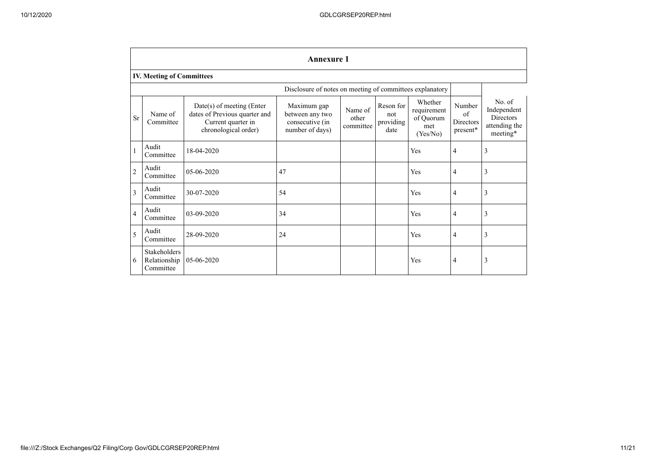|                | <b>Annexure 1</b>                         |                                                                                                          |                                                                      |                               |                                       |                                                        |                                              |                                                                        |
|----------------|-------------------------------------------|----------------------------------------------------------------------------------------------------------|----------------------------------------------------------------------|-------------------------------|---------------------------------------|--------------------------------------------------------|----------------------------------------------|------------------------------------------------------------------------|
|                | <b>IV. Meeting of Committees</b>          |                                                                                                          |                                                                      |                               |                                       |                                                        |                                              |                                                                        |
|                |                                           |                                                                                                          | Disclosure of notes on meeting of committees explanatory             |                               |                                       |                                                        |                                              |                                                                        |
| Sr             | Name of<br>Committee                      | Date(s) of meeting (Enter<br>dates of Previous quarter and<br>Current quarter in<br>chronological order) | Maximum gap<br>between any two<br>consecutive (in<br>number of days) | Name of<br>other<br>committee | Reson for<br>not<br>providing<br>date | Whether<br>requirement<br>of Quorum<br>met<br>(Yes/No) | Number<br>of<br><b>Directors</b><br>present* | No. of<br>Independent<br><b>Directors</b><br>attending the<br>meeting* |
|                | Audit<br>Committee                        | 18-04-2020                                                                                               |                                                                      |                               |                                       | Yes                                                    | 4                                            | 3                                                                      |
| $\overline{2}$ | Audit<br>Committee                        | 05-06-2020                                                                                               | 47                                                                   |                               |                                       | Yes                                                    | 4                                            | 3                                                                      |
| 3              | Audit<br>Committee                        | 30-07-2020                                                                                               | 54                                                                   |                               |                                       | Yes                                                    | 4                                            | 3                                                                      |
| $\overline{4}$ | Audit<br>Committee                        | $03-09-2020$                                                                                             | 34                                                                   |                               |                                       | Yes                                                    | 4                                            | 3                                                                      |
| 5              | Audit<br>Committee                        | 28-09-2020                                                                                               | 24                                                                   |                               |                                       | Yes                                                    | 4                                            | 3                                                                      |
| 6              | Stakeholders<br>Relationship<br>Committee | 05-06-2020                                                                                               |                                                                      |                               |                                       | Yes                                                    | 4                                            | 3                                                                      |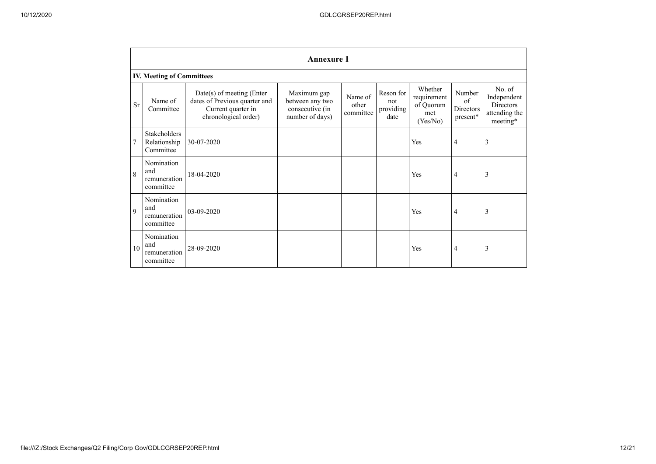|                | <b>Annexure 1</b>                              |                                                                                                          |                                                                      |                               |                                       |                                                        |                                                           |                                                                 |
|----------------|------------------------------------------------|----------------------------------------------------------------------------------------------------------|----------------------------------------------------------------------|-------------------------------|---------------------------------------|--------------------------------------------------------|-----------------------------------------------------------|-----------------------------------------------------------------|
|                | <b>IV. Meeting of Committees</b>               |                                                                                                          |                                                                      |                               |                                       |                                                        |                                                           |                                                                 |
| Sr             | Name of<br>Committee                           | Date(s) of meeting (Enter<br>dates of Previous quarter and<br>Current quarter in<br>chronological order) | Maximum gap<br>between any two<br>consecutive (in<br>number of days) | Name of<br>other<br>committee | Reson for<br>not<br>providing<br>date | Whether<br>requirement<br>of Quorum<br>met<br>(Yes/No) | Number<br>$\sigma$ f<br>Directors<br>$\mathtt{present}^*$ | No. of<br>Independent<br>Directors<br>attending the<br>meeting* |
| $\overline{7}$ | Stakeholders<br>Relationship<br>Committee      | 30-07-2020                                                                                               |                                                                      |                               |                                       | Yes                                                    | 4                                                         | 3                                                               |
| 8              | Nomination<br>and<br>remuneration<br>committee | 18-04-2020                                                                                               |                                                                      |                               |                                       | Yes                                                    | 4                                                         | 3                                                               |
| 9              | Nomination<br>and<br>remuneration<br>committee | 03-09-2020                                                                                               |                                                                      |                               |                                       | Yes                                                    | 4                                                         | 3                                                               |
| 10             | Nomination<br>and<br>remuneration<br>committee | 28-09-2020                                                                                               |                                                                      |                               |                                       | Yes                                                    | 4                                                         | 3                                                               |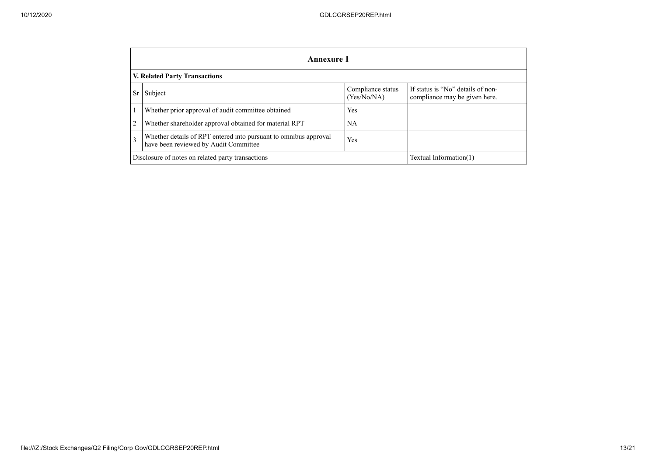|                                                             | Annexure 1                                                                                                              |                                  |                                                                    |  |  |
|-------------------------------------------------------------|-------------------------------------------------------------------------------------------------------------------------|----------------------------------|--------------------------------------------------------------------|--|--|
|                                                             | <b>V. Related Party Transactions</b>                                                                                    |                                  |                                                                    |  |  |
| Sr                                                          | Subject                                                                                                                 | Compliance status<br>(Yes/No/NA) | If status is "No" details of non-<br>compliance may be given here. |  |  |
|                                                             | Whether prior approval of audit committee obtained                                                                      | Yes                              |                                                                    |  |  |
| 2<br>Whether shareholder approval obtained for material RPT |                                                                                                                         | NA                               |                                                                    |  |  |
| 3                                                           | Whether details of RPT entered into pursuant to omnibus approval<br><b>Yes</b><br>have been reviewed by Audit Committee |                                  |                                                                    |  |  |
|                                                             | Disclosure of notes on related party transactions<br>Textual Information(1)                                             |                                  |                                                                    |  |  |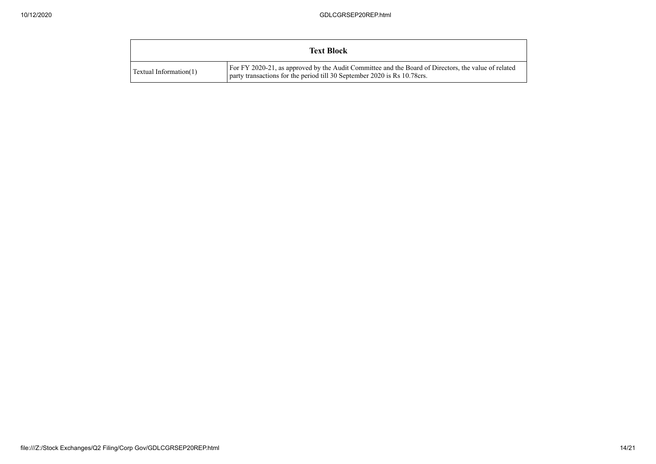|                        | <b>Text Block</b>                                                                                                                                                                |
|------------------------|----------------------------------------------------------------------------------------------------------------------------------------------------------------------------------|
| Textual Information(1) | For FY 2020-21, as approved by the Audit Committee and the Board of Directors, the value of related<br>party transactions for the period till 30 September 2020 is Rs 10.78 crs. |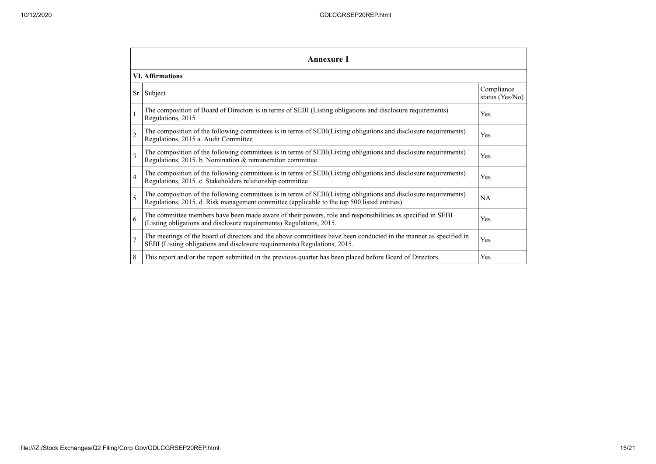|                         | <b>Annexure 1</b>                                                                                                                                                                                               |                               |  |  |  |  |
|-------------------------|-----------------------------------------------------------------------------------------------------------------------------------------------------------------------------------------------------------------|-------------------------------|--|--|--|--|
|                         | <b>VI. Affirmations</b>                                                                                                                                                                                         |                               |  |  |  |  |
|                         | Sr Subject                                                                                                                                                                                                      | Compliance<br>status (Yes/No) |  |  |  |  |
|                         | The composition of Board of Directors is in terms of SEBI (Listing obligations and disclosure requirements)<br>Regulations, 2015                                                                                | Yes                           |  |  |  |  |
| $\overline{c}$          | The composition of the following committees is in terms of SEBI(Listing obligations and disclosure requirements)<br>Regulations, 2015 a. Audit Committee                                                        | Yes                           |  |  |  |  |
| $\overline{\mathbf{3}}$ | The composition of the following committees is in terms of SEBI(Listing obligations and disclosure requirements)<br>Regulations, 2015. b. Nomination & remuneration committee                                   | <b>Yes</b>                    |  |  |  |  |
| $\overline{4}$          | The composition of the following committees is in terms of SEBI(Listing obligations and disclosure requirements)<br>Regulations, 2015. c. Stakeholders relationship committee                                   | Yes                           |  |  |  |  |
| 5                       | The composition of the following committees is in terms of SEBI(Listing obligations and disclosure requirements)<br>Regulations, 2015. d. Risk management committee (applicable to the top 500 listed entities) | <b>NA</b>                     |  |  |  |  |
| 6                       | The committee members have been made aware of their powers, role and responsibilities as specified in SEBI<br>(Listing obligations and disclosure requirements) Regulations, 2015.                              | <b>Yes</b>                    |  |  |  |  |
| $\overline{7}$          | The meetings of the board of directors and the above committees have been conducted in the manner as specified in<br>SEBI (Listing obligations and disclosure requirements) Regulations, 2015.                  | Yes                           |  |  |  |  |
| 8                       | This report and/or the report submitted in the previous quarter has been placed before Board of Directors.                                                                                                      | Yes                           |  |  |  |  |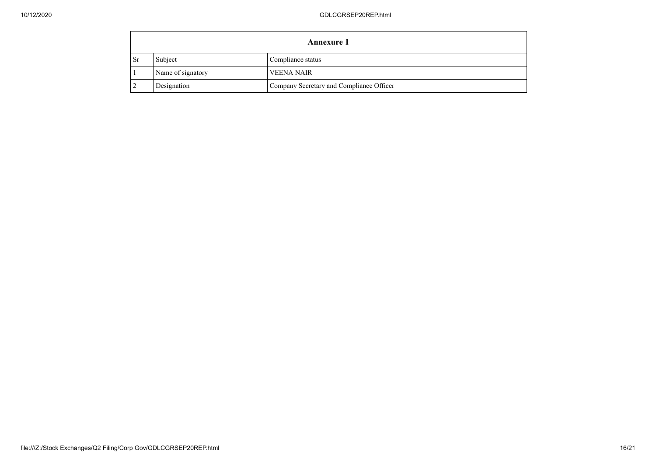| <b>Annexure 1</b> |                   |                                          |  |  |
|-------------------|-------------------|------------------------------------------|--|--|
| <b>Sr</b>         | Subject           | Compliance status                        |  |  |
|                   | Name of signatory | <b>VEENA NAIR</b>                        |  |  |
|                   | Designation       | Company Secretary and Compliance Officer |  |  |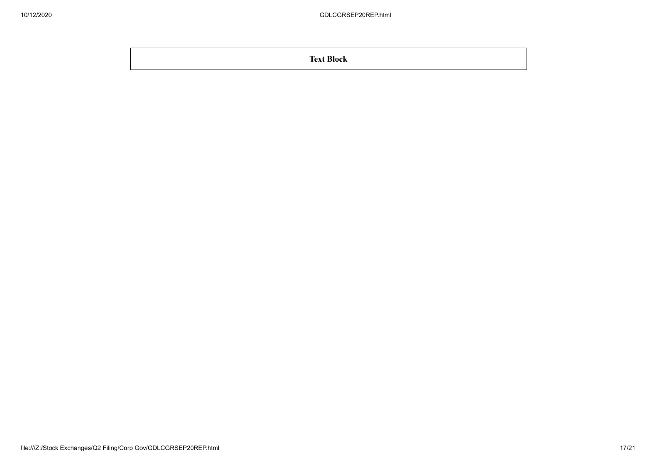**Text Block**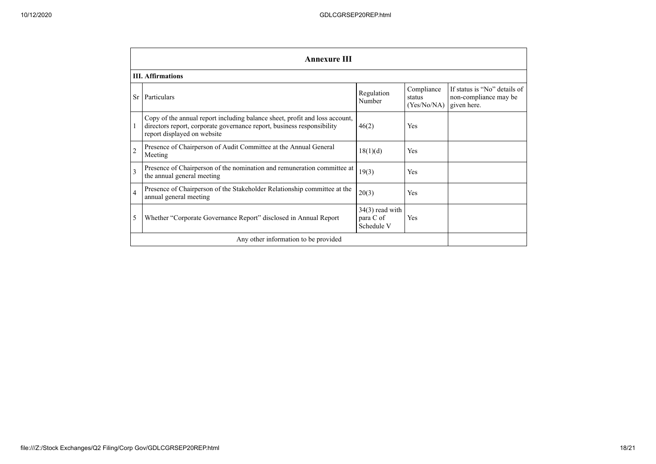|                | <b>Annexure III</b>                                                                                                                                                                  |                                              |                                     |                                                                      |  |  |
|----------------|--------------------------------------------------------------------------------------------------------------------------------------------------------------------------------------|----------------------------------------------|-------------------------------------|----------------------------------------------------------------------|--|--|
|                | <b>III.</b> Affirmations                                                                                                                                                             |                                              |                                     |                                                                      |  |  |
| Sr             | Particulars                                                                                                                                                                          | Regulation<br>Number                         | Compliance<br>status<br>(Yes/No/NA) | If status is "No" details of<br>non-compliance may be<br>given here. |  |  |
|                | Copy of the annual report including balance sheet, profit and loss account,<br>directors report, corporate governance report, business responsibility<br>report displayed on website | 46(2)                                        | Yes                                 |                                                                      |  |  |
| $\overline{c}$ | Presence of Chairperson of Audit Committee at the Annual General<br>Meeting                                                                                                          | 18(1)(d)                                     | Yes                                 |                                                                      |  |  |
| 3              | Presence of Chairperson of the nomination and remuneration committee at<br>the annual general meeting                                                                                | 19(3)                                        | Yes                                 |                                                                      |  |  |
| $\overline{4}$ | Presence of Chairperson of the Stakeholder Relationship committee at the<br>annual general meeting                                                                                   | 20(3)                                        | Yes                                 |                                                                      |  |  |
| 5              | Whether "Corporate Governance Report" disclosed in Annual Report                                                                                                                     | $34(3)$ read with<br>para C of<br>Schedule V | Yes                                 |                                                                      |  |  |
|                | Any other information to be provided                                                                                                                                                 |                                              |                                     |                                                                      |  |  |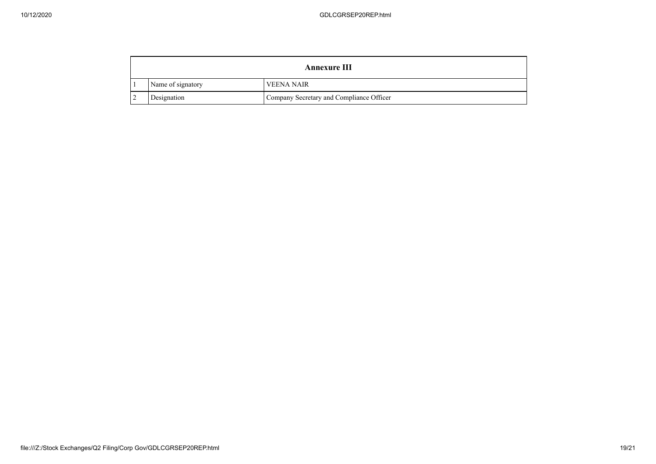| Annexure III      |                                          |  |
|-------------------|------------------------------------------|--|
| Name of signatory | <b>VEENA NAIR</b>                        |  |
| Designation       | Company Secretary and Compliance Officer |  |